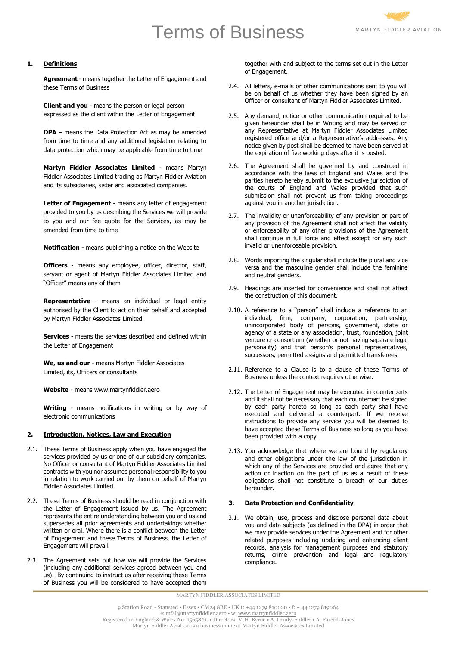# Terms of Business



# **1. Definitions**

**Agreement** - means together the Letter of Engagement and these Terms of Business

**Client and you** - means the person or legal person expressed as the client within the Letter of Engagement

**DPA** – means the Data Protection Act as may be amended from time to time and any additional legislation relating to data protection which may be applicable from time to time

**Martyn Fiddler Associates Limited** - means Martyn Fiddler Associates Limited trading as Martyn Fiddler Aviation and its subsidiaries, sister and associated companies.

Letter of Engagement - means any letter of engagement provided to you by us describing the Services we will provide to you and our fee quote for the Services, as may be amended from time to time

**Notification -** means publishing a notice on the Website

**Officers** - means any employee, officer, director, staff, servant or agent of Martyn Fiddler Associates Limited and "Officer" means any of them

**Representative** - means an individual or legal entity authorised by the Client to act on their behalf and accepted by Martyn Fiddler Associates Limited

**Services** - means the services described and defined within the Letter of Engagement

**We, us and our -** means Martyn Fiddler Associates Limited, its, Officers or consultants

**Website** - means www.martynfiddler.aero

**Writing** - means notifications in writing or by way of electronic communications

# **2. Introduction, Notices, Law and Execution**

- 2.1. These Terms of Business apply when you have engaged the services provided by us or one of our subsidiary companies. No Officer or consultant of Martyn Fiddler Associates Limited contracts with you nor assumes personal responsibility to you in relation to work carried out by them on behalf of Martyn Fiddler Associates Limited.
- 2.2. These Terms of Business should be read in conjunction with the Letter of Engagement issued by us. The Agreement represents the entire understanding between you and us and supersedes all prior agreements and undertakings whether written or oral. Where there is a conflict between the Letter of Engagement and these Terms of Business, the Letter of Engagement will prevail.
- 2.3. The Agreement sets out how we will provide the Services (including any additional services agreed between you and us). By continuing to instruct us after receiving these Terms of Business you will be considered to have accepted them

together with and subject to the terms set out in the Letter of Engagement.

- 2.4. All letters, e-mails or other communications sent to you will be on behalf of us whether they have been signed by an Officer or consultant of Martyn Fiddler Associates Limited.
- 2.5. Any demand, notice or other communication required to be given hereunder shall be in Writing and may be served on any Representative at Martyn Fiddler Associates Limited registered office and/or a Representative's addresses. Any notice given by post shall be deemed to have been served at the expiration of five working days after it is posted.
- 2.6. The Agreement shall be governed by and construed in accordance with the laws of England and Wales and the parties hereto hereby submit to the exclusive jurisdiction of the courts of England and Wales provided that such submission shall not prevent us from taking proceedings against you in another jurisdiction.
- 2.7. The invalidity or unenforceability of any provision or part of any provision of the Agreement shall not affect the validity or enforceability of any other provisions of the Agreement shall continue in full force and effect except for any such invalid or unenforceable provision.
- 2.8. Words importing the singular shall include the plural and vice versa and the masculine gender shall include the feminine and neutral genders.
- 2.9. Headings are inserted for convenience and shall not affect the construction of this document.
- 2.10. A reference to a "person" shall include a reference to an individual, firm, company, corporation, partnership, unincorporated body of persons, government, state or agency of a state or any association, trust, foundation, joint venture or consortium (whether or not having separate legal personality) and that person's personal representatives, successors, permitted assigns and permitted transferees.
- 2.11. Reference to a Clause is to a clause of these Terms of Business unless the context requires otherwise.
- 2.12. The Letter of Engagement may be executed in counterparts and it shall not be necessary that each counterpart be signed by each party hereto so long as each party shall have executed and delivered a counterpart. If we receive instructions to provide any service you will be deemed to have accepted these Terms of Business so long as you have been provided with a copy.
- 2.13. You acknowledge that where we are bound by regulatory and other obligations under the law of the jurisdiction in which any of the Services are provided and agree that any action or inaction on the part of us as a result of these obligations shall not constitute a breach of our duties hereunder.

# **3. Data Protection and Confidentiality**

3.1. We obtain, use, process and disclose personal data about you and data subjects (as defined in the DPA) in order that we may provide services under the Agreement and for other related purposes including updating and enhancing client records, analysis for management purposes and statutory returns, crime prevention and legal and regulatory compliance.

MARTYN FIDDLER ASSOCIATES LIMITED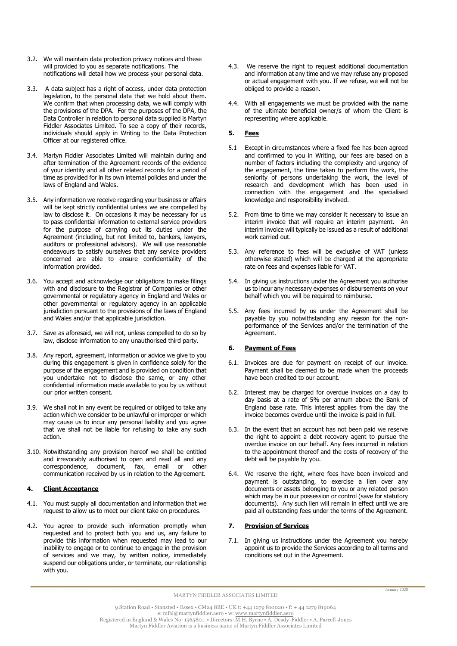- 3.2. We will maintain data protection privacy notices and these will provided to you as separate notifications. The notifications will detail how we process your personal data.
- 3.3. A data subject has a right of access, under data protection legislation, to the personal data that we hold about them. We confirm that when processing data, we will comply with the provisions of the DPA. For the purposes of the DPA, the Data Controller in relation to personal data supplied is Martyn Fiddler Associates Limited. To see a copy of their records, individuals should apply in Writing to the Data Protection Officer at our registered office.
- 3.4. Martyn Fiddler Associates Limited will maintain during and after termination of the Agreement records of the evidence of your identity and all other related records for a period of time as provided for in its own internal policies and under the laws of England and Wales.
- 3.5. Any information we receive regarding your business or affairs will be kept strictly confidential unless we are compelled by law to disclose it. On occasions it may be necessary for us to pass confidential information to external service providers for the purpose of carrying out its duties under the Agreement (including, but not limited to, bankers, lawyers, auditors or professional advisors). We will use reasonable endeavours to satisfy ourselves that any service providers concerned are able to ensure confidentiality of the information provided.
- 3.6. You accept and acknowledge our obligations to make filings with and disclosure to the Registrar of Companies or other governmental or regulatory agency in England and Wales or other governmental or regulatory agency in an applicable jurisdiction pursuant to the provisions of the laws of England and Wales and/or that applicable jurisdiction.
- 3.7. Save as aforesaid, we will not, unless compelled to do so by law, disclose information to any unauthorised third party.
- 3.8. Any report, agreement, information or advice we give to you during this engagement is given in confidence solely for the purpose of the engagement and is provided on condition that you undertake not to disclose the same, or any other confidential information made available to you by us without our prior written consent.
- 3.9. We shall not in any event be required or obliged to take any action which we consider to be unlawful or improper or which may cause us to incur any personal liability and you agree that we shall not be liable for refusing to take any such action.
- 3.10. Notwithstanding any provision hereof we shall be entitled and irrevocably authorised to open and read all and any correspondence, document, fax, email or other communication received by us in relation to the Agreement.

# **4. Client Acceptance**

- 4.1. You must supply all documentation and information that we request to allow us to meet our client take on procedures.
- 4.2. You agree to provide such information promptly when requested and to protect both you and us, any failure to provide this information when requested may lead to our inability to engage or to continue to engage in the provision of services and we may, by written notice, immediately suspend our obligations under, or terminate, our relationship with you.
- 4.3. We reserve the right to request additional documentation and information at any time and we may refuse any proposed or actual engagement with you. If we refuse, we will not be obliged to provide a reason.
- 4.4. With all engagements we must be provided with the name of the ultimate beneficial owner/s of whom the Client is representing where applicable.

# **5. Fees**

- 5.1 Except in circumstances where a fixed fee has been agreed and confirmed to you in Writing, our fees are based on a number of factors including the complexity and urgency of the engagement, the time taken to perform the work, the seniority of persons undertaking the work, the level of research and development which has been used in connection with the engagement and the specialised knowledge and responsibility involved.
- 5.2. From time to time we may consider it necessary to issue an interim invoice that will require an interim payment. An interim invoice will typically be issued as a result of additional work carried out.
- 5.3. Any reference to fees will be exclusive of VAT (unless otherwise stated) which will be charged at the appropriate rate on fees and expenses liable for VAT.
- 5.4. In giving us instructions under the Agreement you authorise us to incur any necessary expenses or disbursements on your behalf which you will be required to reimburse.
- 5.5. Any fees incurred by us under the Agreement shall be payable by you notwithstanding any reason for the nonperformance of the Services and/or the termination of the Agreement.

# **6. Payment of Fees**

- 6.1. Invoices are due for payment on receipt of our invoice. Payment shall be deemed to be made when the proceeds have been credited to our account.
- 6.2. Interest may be charged for overdue invoices on a day to day basis at a rate of 5% per annum above the Bank of England base rate. This interest applies from the day the invoice becomes overdue until the invoice is paid in full.
- 6.3. In the event that an account has not been paid we reserve the right to appoint a debt recovery agent to pursue the overdue invoice on our behalf. Any fees incurred in relation to the appointment thereof and the costs of recovery of the debt will be payable by you.
- 6.4. We reserve the right, where fees have been invoiced and payment is outstanding, to exercise a lien over any documents or assets belonging to you or any related person which may be in our possession or control (save for statutory documents). Any such lien will remain in effect until we are paid all outstanding fees under the terms of the Agreement.

# **7. Provision of Services**

7.1. In giving us instructions under the Agreement you hereby appoint us to provide the Services according to all terms and conditions set out in the Agreement.

MARTYN FIDDLER ASSOCIATES LIMITED

9 Station Road • Stansted • Essex • CM24 8BE • UK t: +44 1279 810020 • f: + 44 1279 819064 e: mfal@martynfiddler.aero • w: <u>[www.martynfiddler.aero](http://www.martynfiddler.aero/)</u><br>Registered in England & Wales No: 1565801. • Directors: M.H. Byrne • A. Deady-Fiddler • A. Parcell-Jones Martyn Fiddler Aviation is a business name of Martyn Fiddler Associates Limited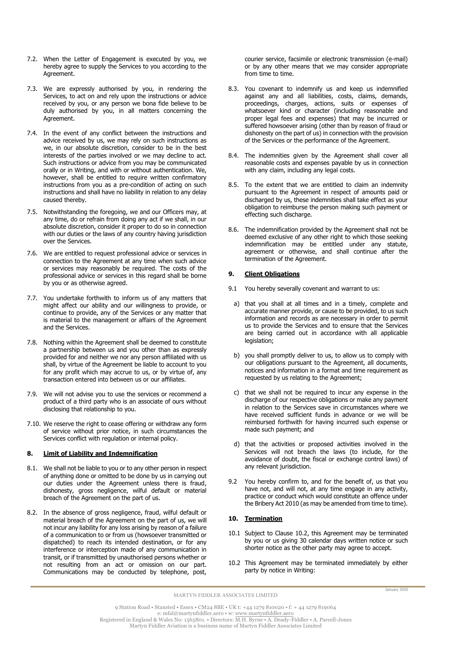- 7.2. When the Letter of Engagement is executed by you, we hereby agree to supply the Services to you according to the Agreement.
- 7.3. We are expressly authorised by you, in rendering the Services, to act on and rely upon the instructions or advice received by you, or any person we bona fide believe to be duly authorised by you, in all matters concerning the Agreement.
- 7.4. In the event of any conflict between the instructions and advice received by us, we may rely on such instructions as we, in our absolute discretion, consider to be in the best interests of the parties involved or we may decline to act. Such instructions or advice from you may be communicated orally or in Writing, and with or without authentication. We, however, shall be entitled to require written confirmatory instructions from you as a pre-condition of acting on such instructions and shall have no liability in relation to any delay caused thereby.
- 7.5. Notwithstanding the foregoing, we and our Officers may, at any time, do or refrain from doing any act if we shall, in our absolute discretion, consider it proper to do so in connection with our duties or the laws of any country having jurisdiction over the Services.
- 7.6. We are entitled to request professional advice or services in connection to the Agreement at any time when such advice or services may reasonably be required. The costs of the professional advice or services in this regard shall be borne by you or as otherwise agreed.
- 7.7. You undertake forthwith to inform us of any matters that might affect our ability and our willingness to provide, or continue to provide, any of the Services or any matter that is material to the management or affairs of the Agreement and the Services.
- 7.8. Nothing within the Agreement shall be deemed to constitute a partnership between us and you other than as expressly provided for and neither we nor any person affiliated with us shall, by virtue of the Agreement be liable to account to you for any profit which may accrue to us, or by virtue of, any transaction entered into between us or our affiliates.
- 7.9. We will not advise you to use the services or recommend a product of a third party who is an associate of ours without disclosing that relationship to you.
- 7.10. We reserve the right to cease offering or withdraw any form of service without prior notice, in such circumstances the Services conflict with regulation or internal policy.

# **8. Limit of Liability and Indemnification**

- 8.1. We shall not be liable to you or to any other person in respect of anything done or omitted to be done by us in carrying out our duties under the Agreement unless there is fraud, dishonesty, gross negligence, wilful default or material breach of the Agreement on the part of us.
- 8.2. In the absence of gross negligence, fraud, wilful default or material breach of the Agreement on the part of us, we will not incur any liability for any loss arising by reason of a failure of a communication to or from us (howsoever transmitted or dispatched) to reach its intended destination, or for any interference or interception made of any communication in transit, or if transmitted by unauthorised persons whether or not resulting from an act or omission on our part. Communications may be conducted by telephone, post,

courier service, facsimile or electronic transmission (e-mail) or by any other means that we may consider appropriate from time to time.

- 8.3. You covenant to indemnify us and keep us indemnified against any and all liabilities, costs, claims, demands, proceedings, charges, actions, suits or expenses of whatsoever kind or character (including reasonable and proper legal fees and expenses) that may be incurred or suffered howsoever arising (other than by reason of fraud or dishonesty on the part of us) in connection with the provision of the Services or the performance of the Agreement.
- 8.4. The indemnities given by the Agreement shall cover all reasonable costs and expenses payable by us in connection with any claim, including any legal costs.
- 8.5. To the extent that we are entitled to claim an indemnity pursuant to the Agreement in respect of amounts paid or discharged by us, these indemnities shall take effect as your obligation to reimburse the person making such payment or effecting such discharge.
- 8.6. The indemnification provided by the Agreement shall not be deemed exclusive of any other right to which those seeking indemnification may be entitled under any statute, agreement or otherwise, and shall continue after the termination of the Agreement.

#### **9. Client Obligations**

- 9.1 You hereby severally covenant and warrant to us:
- a) that you shall at all times and in a timely, complete and accurate manner provide, or cause to be provided, to us such information and records as are necessary in order to permit us to provide the Services and to ensure that the Services are being carried out in accordance with all applicable legislation;
- b) you shall promptly deliver to us, to allow us to comply with our obligations pursuant to the Agreement, all documents, notices and information in a format and time requirement as requested by us relating to the Agreement;
- c) that we shall not be required to incur any expense in the discharge of our respective obligations or make any payment in relation to the Services save in circumstances where we have received sufficient funds in advance or we will be reimbursed forthwith for having incurred such expense or made such payment; and
- d) that the activities or proposed activities involved in the Services will not breach the laws (to include, for the avoidance of doubt, the fiscal or exchange control laws) of any relevant jurisdiction.
- 9.2 You hereby confirm to, and for the benefit of, us that you have not, and will not, at any time engage in any activity, practice or conduct which would constitute an offence under the Bribery Act 2010 (as may be amended from time to time).

#### **10. Termination**

- 10.1 Subject to Clause 10.2, this Agreement may be terminated by you or us giving 30 calendar days written notice or such shorter notice as the other party may agree to accept.
- 10.2 This Agreement may be terminated immediately by either party by notice in Writing:

MARTYN FIDDLER ASSOCIATES LIMITED